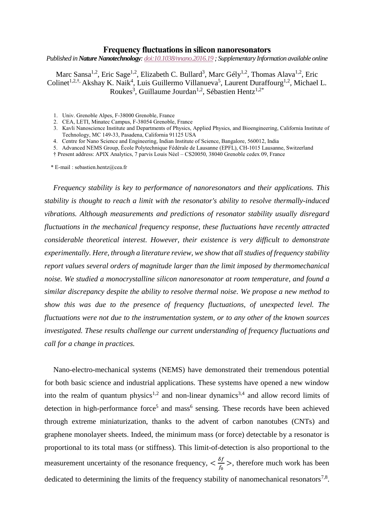# **Frequency fluctuations in silicon nanoresonators**

*Published in Nature Nanotechnology[: doi:10.1038/nnano.2016.19](http://www.nature.com/nnano/journal/v11/n6/full/nnano.2016.19.html) ; Supplementary Information available online*

Marc Sansa<sup>1,2</sup>, Eric Sage<sup>1,2</sup>, Elizabeth C. Bullard<sup>3</sup>, Marc Gély<sup>1,2</sup>, Thomas Alava<sup>1,2</sup>, Eric Colinet<sup>1,2,†,</sup> Akshay K. Naik<sup>4</sup>, Luis Guillermo Villanueva<sup>5</sup>, Laurent Duraffourg<sup>1,2</sup>, Michael L. Roukes<sup>3</sup>, Guillaume Jourdan<sup>1,2</sup>, Sébastien Hentz<sup>1,2\*</sup>

- 2. CEA, LETI, Minatec Campus, F-38054 Grenoble, France
- 3. Kavli Nanoscience Institute and Departments of Physics, Applied Physics, and Bioengineering, California Institute of Technology, MC 149-33, Pasadena, California 91125 USA
- 4. Centre for Nano Science and Engineering, Indian Institute of Science, Bangalore, 560012, India
- 5. Advanced NEMS Group, École Polytechnique Fédérale de Lausanne (EPFL), CH-1015 Lausanne, Switzerland
- † Present address: APIX Analytics, 7 parvis Louis Néel CS20050, 38040 Grenoble cedex 09, France

\* E-mail : sebastien.hentz@cea.fr

*Frequency stability is key to performance of nanoresonators and their applications. This stability is thought to reach a limit with the resonator's ability to resolve thermally-induced vibrations. Although measurements and predictions of resonator stability usually disregard fluctuations in the mechanical frequency response, these fluctuations have recently attracted considerable theoretical interest. However, their existence is very difficult to demonstrate experimentally. Here, through a literature review, we show that all studies of frequency stability report values several orders of magnitude larger than the limit imposed by thermomechanical noise. We studied a monocrystalline silicon nanoresonator at room temperature, and found a similar discrepancy despite the ability to resolve thermal noise. We propose a new method to show this was due to the presence of frequency fluctuations, of unexpected level. The fluctuations were not due to the instrumentation system, or to any other of the known sources investigated. These results challenge our current understanding of frequency fluctuations and call for a change in practices.*

Nano-electro-mechanical systems (NEMS) have demonstrated their tremendous potential for both basic science and industrial applications. These systems have opened a new window into the realm of quantum physics<sup>1,2</sup> and non-linear dynamics<sup>3,4</sup> and allow record limits of detection in high-performance force<sup>5</sup> and mass<sup>6</sup> sensing. These records have been achieved through extreme miniaturization, thanks to the advent of carbon nanotubes (CNTs) and graphene monolayer sheets. Indeed, the minimum mass (or force) detectable by a resonator is proportional to its total mass (or stiffness). This limit-of-detection is also proportional to the measurement uncertainty of the resonance frequency,  $\lt \frac{\delta f}{f}$  $\frac{\partial f}{\partial \rho}$  >, therefore much work has been dedicated to determining the limits of the frequency stability of nanomechanical resonators<sup>7,8</sup>.

<sup>1.</sup> Univ. Grenoble Alpes, F-38000 Grenoble, France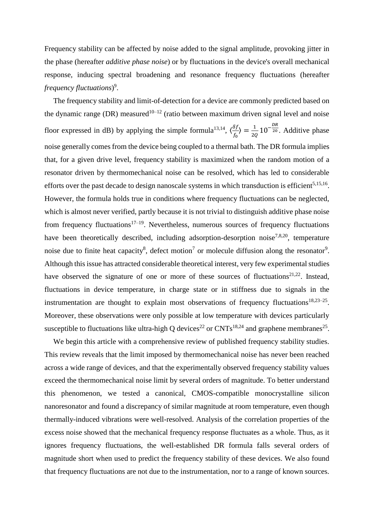Frequency stability can be affected by noise added to the signal amplitude, provoking jitter in the phase (hereafter *additive phase noise*) or by fluctuations in the device's overall mechanical response, inducing spectral broadening and resonance frequency fluctuations (hereafter *frequency fluctuations*) 9 .

The frequency stability and limit-of-detection for a device are commonly predicted based on the dynamic range (DR) measured<sup>10–12</sup> (ratio between maximum driven signal level and noise floor expressed in dB) by applying the simple formula<sup>13,14</sup>,  $\langle \frac{\delta f}{f} \rangle$  $\frac{\delta f}{f_0}$  =  $\frac{1}{20}$  $\frac{1}{2Q}10^{-\frac{DR}{20}}$ . Additive phase noise generally comes from the device being coupled to a thermal bath. The DR formula implies that, for a given drive level, frequency stability is maximized when the random motion of a resonator driven by thermomechanical noise can be resolved, which has led to considerable efforts over the past decade to design nanoscale systems in which transduction is efficient $5,15,16$ . However, the formula holds true in conditions where frequency fluctuations can be neglected, which is almost never verified, partly because it is not trivial to distinguish additive phase noise from frequency fluctuations<sup>17–19</sup>. Nevertheless, numerous sources of frequency fluctuations have been theoretically described, including adsorption-desorption noise<sup>7,8,20</sup>, temperature noise due to finite heat capacity<sup>8</sup>, defect motion<sup>7</sup> or molecule diffusion along the resonator<sup>9</sup>. Although this issue has attracted considerable theoretical interest, very few experimental studies have observed the signature of one or more of these sources of fluctuations<sup>21,22</sup>. Instead, fluctuations in device temperature, in charge state or in stiffness due to signals in the instrumentation are thought to explain most observations of frequency fluctuations<sup>18,23–25</sup>. Moreover, these observations were only possible at low temperature with devices particularly susceptible to fluctuations like ultra-high Q devices<sup>22</sup> or CNTs<sup>18,24</sup> and graphene membranes<sup>25</sup>.

We begin this article with a comprehensive review of published frequency stability studies. This review reveals that the limit imposed by thermomechanical noise has never been reached across a wide range of devices, and that the experimentally observed frequency stability values exceed the thermomechanical noise limit by several orders of magnitude. To better understand this phenomenon, we tested a canonical, CMOS-compatible monocrystalline silicon nanoresonator and found a discrepancy of similar magnitude at room temperature, even though thermally-induced vibrations were well-resolved. Analysis of the correlation properties of the excess noise showed that the mechanical frequency response fluctuates as a whole. Thus, as it ignores frequency fluctuations, the well-established DR formula falls several orders of magnitude short when used to predict the frequency stability of these devices. We also found that frequency fluctuations are not due to the instrumentation, nor to a range of known sources.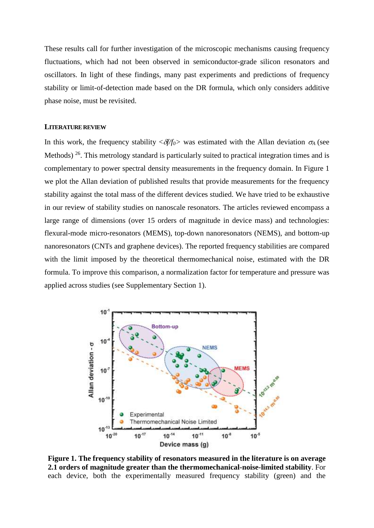These results call for further investigation of the microscopic mechanisms causing frequency fluctuations, which had not been observed in semiconductor-grade silicon resonators and oscillators. In light of these findings, many past experiments and predictions of frequency stability or limit-of-detection made based on the DR formula, which only considers additive phase noise, must be revisited.

### **LITERATURE REVIEW**

In this work, the frequency stability  $\langle \delta f/f_0 \rangle$  was estimated with the Allan deviation  $\sigma_A$  (see Methods)<sup>26</sup>. This metrology standard is particularly suited to practical integration times and is complementary to power spectral density measurements in the frequency domain. In [Figure 1](#page-2-0) we plot the Allan deviation of published results that provide measurements for the frequency stability against the total mass of the different devices studied. We have tried to be exhaustive in our review of stability studies on nanoscale resonators. The articles reviewed encompass a large range of dimensions (over 15 orders of magnitude in device mass) and technologies: flexural-mode micro-resonators (MEMS), top-down nanoresonators (NEMS), and bottom-up nanoresonators (CNTs and graphene devices). The reported frequency stabilities are compared with the limit imposed by the theoretical thermomechanical noise, estimated with the DR formula. To improve this comparison, a normalization factor for temperature and pressure was applied across studies (see Supplementary Section 1).



<span id="page-2-0"></span>**Figure 1. The frequency stability of resonators measured in the literature is on average 2.1 orders of magnitude greater than the thermomechanical-noise-limited stability**. For each device, both the experimentally measured frequency stability (green) and the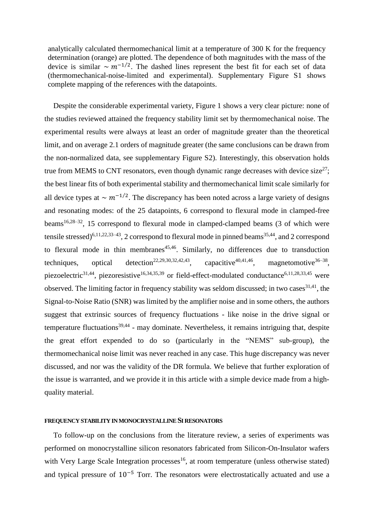analytically calculated thermomechanical limit at a temperature of 300 K for the frequency determination (orange) are plotted. The dependence of both magnitudes with the mass of the device is similar  $\sim m^{-1/2}$ . The dashed lines represent the best fit for each set of data (thermomechanical-noise-limited and experimental). Supplementary Figure S1 shows complete mapping of the references with the datapoints.

Despite the considerable experimental variety, [Figure 1](#page-2-0) shows a very clear picture: none of the studies reviewed attained the frequency stability limit set by thermomechanical noise. The experimental results were always at least an order of magnitude greater than the theoretical limit, and on average 2.1 orders of magnitude greater (the same conclusions can be drawn from the non-normalized data, see supplementary Figure S2). Interestingly, this observation holds true from MEMS to CNT resonators, even though dynamic range decreases with device  $size^{27}$ ; the best linear fits of both experimental stability and thermomechanical limit scale similarly for all device types at  $\sim m^{-1/2}$ . The discrepancy has been noted across a large variety of designs and resonating modes: of the 25 datapoints, 6 correspond to flexural mode in clamped-free beams<sup>16,28–32</sup>, 15 correspond to flexural mode in clamped-clamped beams (3 of which were tensile stressed)<sup>6,11,22,33–43</sup>, 2 correspond to flexural mode in pinned beams<sup>35,44</sup>, and 2 correspond to flexural mode in thin membranes<sup>45,46</sup>. Similarly, no differences due to transduction techniques, optical detection<sup>22,29,30,32,42,43</sup>, capacitive $40,41,46$ ,  $,$  magnetomotive<sup>36–38</sup>, piezoelectric<sup>31,44</sup>, piezoresistive<sup>16,34,35,39</sup> or field-effect-modulated conductance<sup>6,11,28,33,45</sup> were observed. The limiting factor in frequency stability was seldom discussed; in two cases  $31,41$ , the Signal-to-Noise Ratio (SNR) was limited by the amplifier noise and in some others, the authors suggest that extrinsic sources of frequency fluctuations - like noise in the drive signal or temperature fluctuations<sup>39,44</sup> - may dominate. Nevertheless, it remains intriguing that, despite the great effort expended to do so (particularly in the "NEMS" sub-group), the thermomechanical noise limit was never reached in any case. This huge discrepancy was never discussed, and nor was the validity of the DR formula. We believe that further exploration of the issue is warranted, and we provide it in this article with a simple device made from a highquality material.

### **FREQUENCY STABILITY IN MONOCRYSTALLINE SI RESONATORS**

To follow-up on the conclusions from the literature review, a series of experiments was performed on monocrystalline silicon resonators fabricated from Silicon-On-Insulator wafers with Very Large Scale Integration processes<sup>16</sup>, at room temperature (unless otherwise stated) and typical pressure of  $10^{-5}$  Torr. The resonators were electrostatically actuated and use a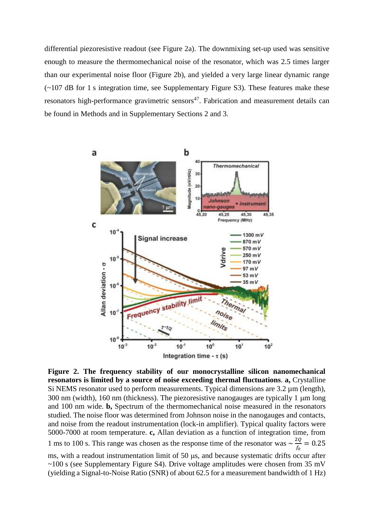differential piezoresistive readout (see [Figure 2a](#page-4-0)). The downmixing set-up used was sensitive enough to measure the thermomechanical noise of the resonator, which was 2.5 times larger than our experimental noise floor [\(Figure 2b](#page-4-0)), and yielded a very large linear dynamic range (*~*107 dB for 1 s integration time, see Supplementary Figure S3). These features make these resonators high-performance gravimetric sensors<sup>47</sup>. Fabrication and measurement details can be found in Methods and in Supplementary Sections 2 and 3.



<span id="page-4-0"></span>**Figure 2. The frequency stability of our monocrystalline silicon nanomechanical resonators is limited by a source of noise exceeding thermal fluctuations**. **a,** Crystalline Si NEMS resonator used to perform measurements. Typical dimensions are 3.2  $\mu$ m (length), 300 nm (width), 160 nm (thickness). The piezoresistive nanogauges are typically 1 um long and 100 nm wide. **b,** Spectrum of the thermomechanical noise measured in the resonators studied. The noise floor was determined from Johnson noise in the nanogauges and contacts, and noise from the readout instrumentation (lock-in amplifier). Typical quality factors were 5000-7000 at room temperature. **c,** Allan deviation as a function of integration time, from 1 ms to 100 s. This range was chosen as the response time of the resonator was  $\sim \frac{2Q}{f}$  $\frac{2Q}{f_0} = 0.25$ ms, with a readout instrumentation limit of 50  $\mu$ s, and because systematic drifts occur after  $\sim$ 100 s (see Supplementary Figure S4). Drive voltage amplitudes were chosen from 35 mV (yielding a Signal-to-Noise Ratio (SNR) of about 62.5 for a measurement bandwidth of 1 Hz)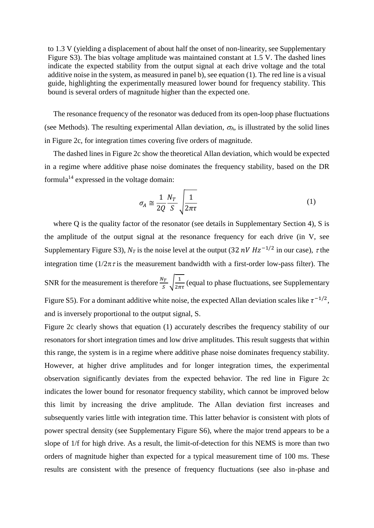to 1.3 V (yielding a displacement of about half the onset of non-linearity, see Supplementary Figure S3). The bias voltage amplitude was maintained constant at 1.5 V. The dashed lines indicate the expected stability from the output signal at each drive voltage and the total additive noise in the system, as measured in panel b), see equation (1). The red line is a visual guide, highlighting the experimentally measured lower bound for frequency stability. This bound is several orders of magnitude higher than the expected one.

The resonance frequency of the resonator was deduced from its open-loop phase fluctuations (see Methods). The resulting experimental Allan deviation,  $\sigma_A$ , is illustrated by the solid lines in [Figure 2c](#page-4-0), for integration times covering five orders of magnitude.

The dashed lines in [Figure 2c](#page-4-0) show the theoretical Allan deviation, which would be expected in a regime where additive phase noise dominates the frequency stability, based on the DR formula<sup>14</sup> expressed in the voltage domain:

$$
\sigma_A \cong \frac{1}{2Q} \frac{N_T}{S} \sqrt{\frac{1}{2\pi\tau}}
$$
\n(1)

where Q is the quality factor of the resonator (see details in Supplementary Section 4), S is the amplitude of the output signal at the resonance frequency for each drive (in V, see Supplementary Figure S3),  $N_T$  is the noise level at the output (32  $nV$   $Hz^{-1/2}$  in our case),  $\tau$  the integration time ( $1/2\pi\tau$  is the measurement bandwidth with a first-order low-pass filter). The SNR for the measurement is therefore  $\frac{N_T}{S} \sqrt{\frac{1}{2\pi}}$  $\frac{1}{2\pi\tau}$  (equal to phase fluctuations, see Supplementary Figure S5). For a dominant additive white noise, the expected Allan deviation scales like  $\tau^{-1/2}$ , and is inversely proportional to the output signal, S.

[Figure 2c](#page-4-0) clearly shows that equation (1) accurately describes the frequency stability of our resonators for short integration times and low drive amplitudes. This result suggests that within this range, the system is in a regime where additive phase noise dominates frequency stability. However, at higher drive amplitudes and for longer integration times, the experimental observation significantly deviates from the expected behavior. The red line in [Figure 2c](#page-4-0) indicates the lower bound for resonator frequency stability, which cannot be improved below this limit by increasing the drive amplitude. The Allan deviation first increases and subsequently varies little with integration time. This latter behavior is consistent with plots of power spectral density (see Supplementary Figure S6), where the major trend appears to be a slope of 1/f for high drive. As a result, the limit-of-detection for this NEMS is more than two orders of magnitude higher than expected for a typical measurement time of 100 ms. These results are consistent with the presence of frequency fluctuations (see also in-phase and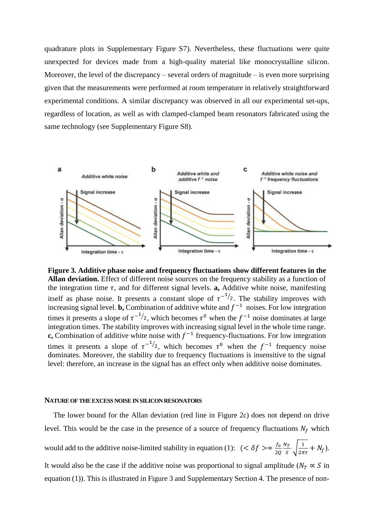quadrature plots in Supplementary Figure S7). Nevertheless, these fluctuations were quite unexpected for devices made from a high-quality material like monocrystalline silicon. Moreover, the level of the discrepancy – several orders of magnitude – is even more surprising given that the measurements were performed at room temperature in relatively straightforward experimental conditions. A similar discrepancy was observed in all our experimental set-ups, regardless of location, as well as with clamped-clamped beam resonators fabricated using the same technology (see Supplementary Figure S8).



<span id="page-6-0"></span>**Figure 3. Additive phase noise and frequency fluctuations show different features in the Allan deviation.** Effect of different noise sources on the frequency stability as a function of the integration time  $\tau$ , and for different signal levels. **a**, Additive white noise, manifesting itself as phase noise. It presents a constant slope of  $\tau^{-1/2}$ . The stability improves with increasing signal level. **b**, Combination of additive white and  $f^{-1}$  noises. For low integration times it presents a slope of  $\tau^{-1/2}$ , which becomes  $\tau^0$  when the  $f^{-1}$  noise dominates at large integration times. The stability improves with increasing signal level in the whole time range. **c**, Combination of additive white noise with  $f^{-1}$  frequency-fluctuations. For low integration times it presents a slope of  $\tau^{-1/2}$ , which becomes  $\tau^0$  when the  $f^{-1}$  frequency noise dominates. Moreover, the stability due to frequency fluctuations is insensitive to the signal level: therefore, an increase in the signal has an effect only when additive noise dominates.

### **NATURE OF THE EXCESS NOISE IN SILICON RESONATORS**

The lower bound for the Allan deviation (red line in [Figure 2](#page-4-0)c) does not depend on drive level. This would be the case in the presence of a source of frequency fluctuations  $N_f$  which would add to the additive noise-limited stability in equation (1):  $\left(\leq \delta f \geq \approx \frac{f_0}{2\delta}\right)$  $2Q$  $N_T$  $\frac{\sqrt{r}}{S}$   $\sqrt{\frac{1}{2\pi}}$  $\frac{1}{2\pi\tau}+N_f$ ). It would also be the case if the additive noise was proportional to signal amplitude ( $N_T \propto S$  in equation (1)). This is illustrated in [Figure 3](#page-6-0) and Supplementary Section 4. The presence of non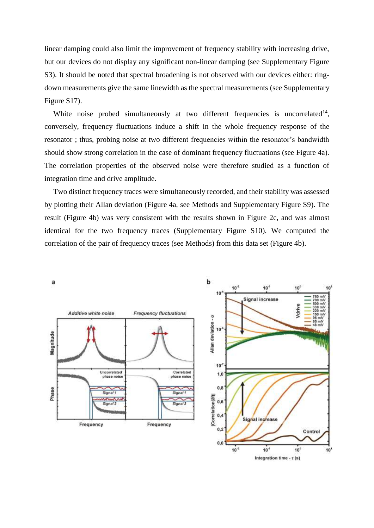linear damping could also limit the improvement of frequency stability with increasing drive, but our devices do not display any significant non-linear damping (see Supplementary Figure S3). It should be noted that spectral broadening is not observed with our devices either: ringdown measurements give the same linewidth as the spectral measurements (see Supplementary Figure S17).

White noise probed simultaneously at two different frequencies is uncorrelated $14$ , conversely, frequency fluctuations induce a shift in the whole frequency response of the resonator ; thus, probing noise at two different frequencies within the resonator's bandwidth should show strong correlation in the case of dominant frequency fluctuations (see Figure 4a). The correlation properties of the observed noise were therefore studied as a function of integration time and drive amplitude.

Two distinct frequency traces were simultaneously recorded, and their stability was assessed by plotting their Allan deviation [\(Figure 4a](#page-8-0), see Methods and Supplementary Figure S9). The result [\(Figure 4b](#page-8-0)) was very consistent with the results shown in Figure 2c, and was almost identical for the two frequency traces (Supplementary Figure S10). We computed the correlation of the pair of frequency traces (see Methods) from this data set [\(Figure 4b](#page-8-0)).

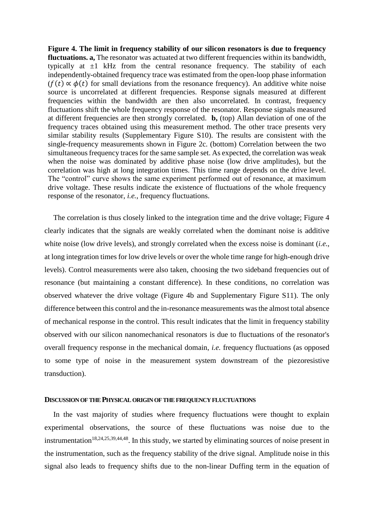<span id="page-8-0"></span>**Figure 4. The limit in frequency stability of our silicon resonators is due to frequency fluctuations. a,** The resonator was actuated at two different frequencies within its bandwidth, typically at ±1 kHz from the central resonance frequency. The stability of each independently-obtained frequency trace was estimated from the open-loop phase information  $(f(t) \propto \phi(t))$  for small deviations from the resonance frequency). An additive white noise source is uncorrelated at different frequencies. Response signals measured at different frequencies within the bandwidth are then also uncorrelated. In contrast, frequency fluctuations shift the whole frequency response of the resonator. Response signals measured at different frequencies are then strongly correlated. **b,** (top) Allan deviation of one of the frequency traces obtained using this measurement method. The other trace presents very similar stability results (Supplementary Figure S10). The results are consistent with the single-frequency measurements shown in Figure 2c. (bottom) Correlation between the two simultaneous frequency traces for the same sample set. As expected, the correlation was weak when the noise was dominated by additive phase noise (low drive amplitudes), but the correlation was high at long integration times. This time range depends on the drive level. The "control" curve shows the same experiment performed out of resonance, at maximum drive voltage. These results indicate the existence of fluctuations of the whole frequency response of the resonator, *i.e.*, frequency fluctuations.

The correlation is thus closely linked to the integration time and the drive voltage; [Figure 4](#page-8-0) clearly indicates that the signals are weakly correlated when the dominant noise is additive white noise (low drive levels), and strongly correlated when the excess noise is dominant (*i.e.*, at long integration times for low drive levels or over the whole time range for high-enough drive levels). Control measurements were also taken, choosing the two sideband frequencies out of resonance (but maintaining a constant difference). In these conditions, no correlation was observed whatever the drive voltage [\(Figure 4b](#page-8-0) and Supplementary Figure S11). The only difference between this control and the in-resonance measurements was the almost total absence of mechanical response in the control. This result indicates that the limit in frequency stability observed with our silicon nanomechanical resonators is due to fluctuations of the resonator's overall frequency response in the mechanical domain, *i.e.* frequency fluctuations (as opposed to some type of noise in the measurement system downstream of the piezoresistive transduction).

### **DISCUSSION OF THE PHYSICAL ORIGIN OF THE FREQUENCY FLUCTUATIONS**

In the vast majority of studies where frequency fluctuations were thought to explain experimental observations, the source of these fluctuations was noise due to the instrumentation<sup>18,24,25,39,44,48</sup>. In this study, we started by eliminating sources of noise present in the instrumentation, such as the frequency stability of the drive signal. Amplitude noise in this signal also leads to frequency shifts due to the non-linear Duffing term in the equation of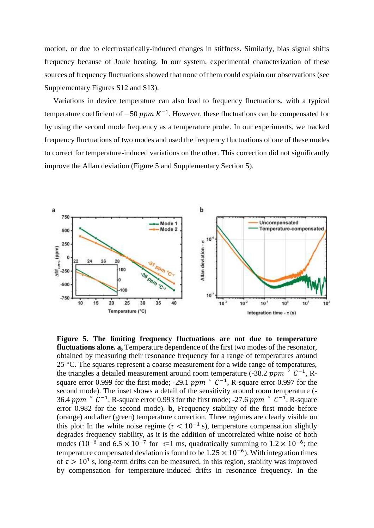motion, or due to electrostatically-induced changes in stiffness. Similarly, bias signal shifts frequency because of Joule heating. In our system, experimental characterization of these sources of frequency fluctuations showed that none of them could explain our observations (see Supplementary Figures S12 and S13).

Variations in device temperature can also lead to frequency fluctuations, with a typical temperature coefficient of  $-50$   $ppm K^{-1}$ . However, these fluctuations can be compensated for by using the second mode frequency as a temperature probe. In our experiments, we tracked frequency fluctuations of two modes and used the frequency fluctuations of one of these modes to correct for temperature-induced variations on the other. This correction did not significantly improve the Allan deviation [\(Figure 5](#page-9-0) and Supplementary Section 5).



<span id="page-9-0"></span>**Figure 5. The limiting frequency fluctuations are not due to temperature fluctuations alone. a,** Temperature dependence of the first two modes of the resonator, obtained by measuring their resonance frequency for a range of temperatures around 25 °C. The squares represent a coarse measurement for a wide range of temperatures, the triangles a detailed measurement around room temperature (-38.2  $ppm \text{° } C^{-1}$ , Rsquare error 0.999 for the first mode; -29.1  $ppm \text{° } C^{-1}$ , R-square error 0.997 for the second mode). The inset shows a detail of the sensitivity around room temperature (- 36.4 ppm  $\degree$  C<sup>-1</sup>, R-square error 0.993 for the first mode; -27.6 ppm  $\degree$  C<sup>-1</sup>, R-square error 0.982 for the second mode). **b,** Frequency stability of the first mode before (orange) and after (green) temperature correction. Three regimes are clearly visible on this plot: In the white noise regime ( $\tau < 10^{-1}$  s), temperature compensation slightly degrades frequency stability, as it is the addition of uncorrelated white noise of both modes (10<sup>-6</sup> and 6.5 × 10<sup>-7</sup> for  $\tau$ =1 ms, quadratically summing to 1.2 × 10<sup>-6</sup>; the temperature compensated deviation is found to be  $1.25 \times 10^{-6}$ ). With integration times of  $\tau > 10^1$  s, long-term drifts can be measured, in this region, stability was improved by compensation for temperature-induced drifts in resonance frequency. In the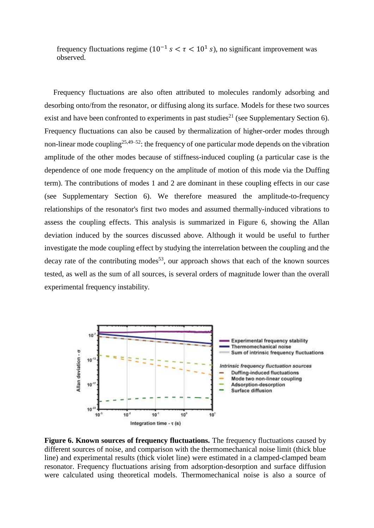frequency fluctuations regime ( $10^{-1} s < \tau < 10^{1} s$ ), no significant improvement was observed.

Frequency fluctuations are also often attributed to molecules randomly adsorbing and desorbing onto/from the resonator, or diffusing along its surface. Models for these two sources exist and have been confronted to experiments in past studies<sup>21</sup> (see Supplementary Section 6). Frequency fluctuations can also be caused by thermalization of higher-order modes through non-linear mode coupling<sup>25,49–52</sup>: the frequency of one particular mode depends on the vibration amplitude of the other modes because of stiffness-induced coupling (a particular case is the dependence of one mode frequency on the amplitude of motion of this mode via the Duffing term). The contributions of modes 1 and 2 are dominant in these coupling effects in our case (see Supplementary Section 6). We therefore measured the amplitude-to-frequency relationships of the resonator's first two modes and assumed thermally-induced vibrations to assess the coupling effects. This analysis is summarized in Figure 6, showing the Allan deviation induced by the sources discussed above. Although it would be useful to further investigate the mode coupling effect by studying the interrelation between the coupling and the decay rate of the contributing modes<sup>53</sup>, our approach shows that each of the known sources tested, as well as the sum of all sources, is several orders of magnitude lower than the overall experimental frequency instability.



**Figure 6. Known sources of frequency fluctuations.** The frequency fluctuations caused by different sources of noise, and comparison with the thermomechanical noise limit (thick blue line) and experimental results (thick violet line) were estimated in a clamped-clamped beam resonator. Frequency fluctuations arising from adsorption-desorption and surface diffusion were calculated using theoretical models. Thermomechanical noise is also a source of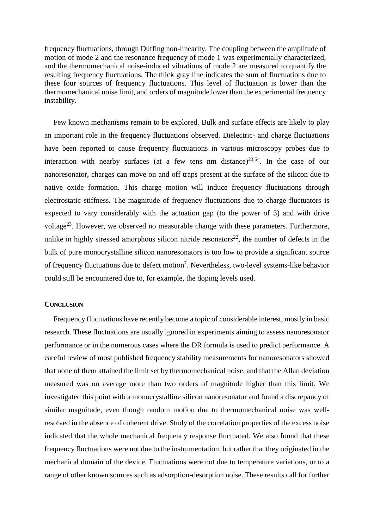frequency fluctuations, through Duffing non-linearity. The coupling between the amplitude of motion of mode 2 and the resonance frequency of mode 1 was experimentally characterized, and the thermomechanical noise-induced vibrations of mode 2 are measured to quantify the resulting frequency fluctuations. The thick gray line indicates the sum of fluctuations due to these four sources of frequency fluctuations. This level of fluctuation is lower than the thermomechanical noise limit, and orders of magnitude lower than the experimental frequency instability.

Few known mechanisms remain to be explored. Bulk and surface effects are likely to play an important role in the frequency fluctuations observed. Dielectric- and charge fluctuations have been reported to cause frequency fluctuations in various microscopy probes due to interaction with nearby surfaces (at a few tens nm distance) $^{23,54}$ . In the case of our nanoresonator, charges can move on and off traps present at the surface of the silicon due to native oxide formation. This charge motion will induce frequency fluctuations through electrostatic stiffness. The magnitude of frequency fluctuations due to charge fluctuators is expected to vary considerably with the actuation gap (to the power of 3) and with drive voltage<sup>23</sup>. However, we observed no measurable change with these parameters. Furthermore, unlike in highly stressed amorphous silicon nitride resonators<sup>22</sup>, the number of defects in the bulk of pure monocrystalline silicon nanoresonators is too low to provide a significant source of frequency fluctuations due to defect motion<sup>7</sup>. Nevertheless, two-level systems-like behavior could still be encountered due to, for example, the doping levels used.

# **CONCLUSION**

Frequency fluctuations have recently become a topic of considerable interest, mostly in basic research. These fluctuations are usually ignored in experiments aiming to assess nanoresonator performance or in the numerous cases where the DR formula is used to predict performance. A careful review of most published frequency stability measurements for nanoresonators showed that none of them attained the limit set by thermomechanical noise, and that the Allan deviation measured was on average more than two orders of magnitude higher than this limit. We investigated this point with a monocrystalline silicon nanoresonator and found a discrepancy of similar magnitude, even though random motion due to thermomechanical noise was wellresolved in the absence of coherent drive. Study of the correlation properties of the excess noise indicated that the whole mechanical frequency response fluctuated. We also found that these frequency fluctuations were not due to the instrumentation, but rather that they originated in the mechanical domain of the device. Fluctuations were not due to temperature variations, or to a range of other known sources such as adsorption-desorption noise. These results call for further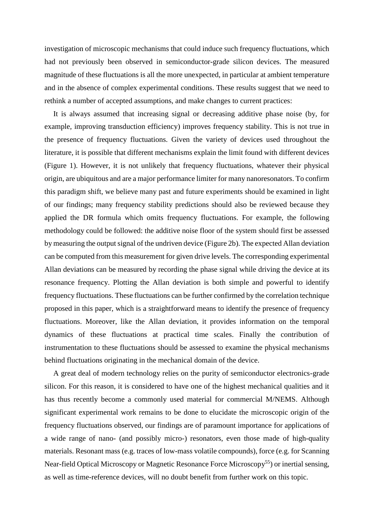investigation of microscopic mechanisms that could induce such frequency fluctuations, which had not previously been observed in semiconductor-grade silicon devices. The measured magnitude of these fluctuations is all the more unexpected, in particular at ambient temperature and in the absence of complex experimental conditions. These results suggest that we need to rethink a number of accepted assumptions, and make changes to current practices:

It is always assumed that increasing signal or decreasing additive phase noise (by, for example, improving transduction efficiency) improves frequency stability. This is not true in the presence of frequency fluctuations. Given the variety of devices used throughout the literature, it is possible that different mechanisms explain the limit found with different devices [\(Figure 1\)](#page-2-0). However, it is not unlikely that frequency fluctuations, whatever their physical origin, are ubiquitous and are a major performance limiter for many nanoresonators. To confirm this paradigm shift, we believe many past and future experiments should be examined in light of our findings; many frequency stability predictions should also be reviewed because they applied the DR formula which omits frequency fluctuations. For example, the following methodology could be followed: the additive noise floor of the system should first be assessed by measuring the output signal of the undriven device (Figure 2b). The expected Allan deviation can be computed from this measurement for given drive levels. The corresponding experimental Allan deviations can be measured by recording the phase signal while driving the device at its resonance frequency. Plotting the Allan deviation is both simple and powerful to identify frequency fluctuations. These fluctuations can be further confirmed by the correlation technique proposed in this paper, which is a straightforward means to identify the presence of frequency fluctuations. Moreover, like the Allan deviation, it provides information on the temporal dynamics of these fluctuations at practical time scales. Finally the contribution of instrumentation to these fluctuations should be assessed to examine the physical mechanisms behind fluctuations originating in the mechanical domain of the device.

A great deal of modern technology relies on the purity of semiconductor electronics-grade silicon. For this reason, it is considered to have one of the highest mechanical qualities and it has thus recently become a commonly used material for commercial M/NEMS. Although significant experimental work remains to be done to elucidate the microscopic origin of the frequency fluctuations observed, our findings are of paramount importance for applications of a wide range of nano- (and possibly micro-) resonators, even those made of high-quality materials. Resonant mass (e.g. traces of low-mass volatile compounds), force (e.g. for Scanning Near-field Optical Microscopy or Magnetic Resonance Force Microscopy<sup>55</sup>) or inertial sensing, as well as time-reference devices, will no doubt benefit from further work on this topic.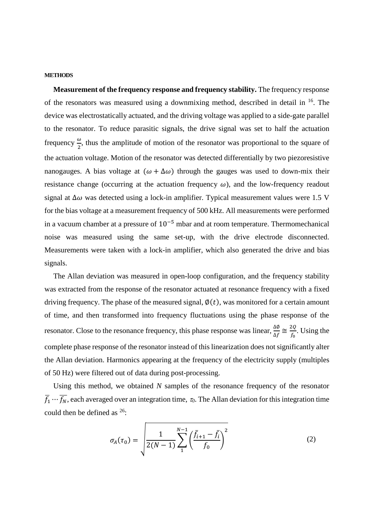#### **METHODS**

**Measurement of the frequency response and frequency stability.** The frequency response of the resonators was measured using a downmixing method, described in detail in <sup>16</sup>. The device was electrostatically actuated, and the driving voltage was applied to a side-gate parallel to the resonator. To reduce parasitic signals, the drive signal was set to half the actuation frequency  $\frac{\omega}{2}$ , thus the amplitude of motion of the resonator was proportional to the square of the actuation voltage. Motion of the resonator was detected differentially by two piezoresistive nanogauges. A bias voltage at  $(\omega + \Delta \omega)$  through the gauges was used to down-mix their resistance change (occurring at the actuation frequency  $\omega$ ), and the low-frequency readout signal at  $\Delta\omega$  was detected using a lock-in amplifier. Typical measurement values were 1.5 V for the bias voltage at a measurement frequency of 500 kHz. All measurements were performed in a vacuum chamber at a pressure of  $10^{-5}$  mbar and at room temperature. Thermomechanical noise was measured using the same set-up, with the drive electrode disconnected. Measurements were taken with a lock-in amplifier, which also generated the drive and bias signals.

The Allan deviation was measured in open-loop configuration, and the frequency stability was extracted from the response of the resonator actuated at resonance frequency with a fixed driving frequency. The phase of the measured signal,  $\phi(t)$ , was monitored for a certain amount of time, and then transformed into frequency fluctuations using the phase response of the resonator. Close to the resonance frequency, this phase response was linear,  $\frac{\Delta \phi}{\Delta \phi}$  $\frac{\Delta \phi}{\Delta f} \cong \frac{2Q}{f_0}$  $\frac{2Q}{f_0}$ . Using the complete phase response of the resonator instead of this linearization does not significantly alter the Allan deviation. Harmonics appearing at the frequency of the electricity supply (multiples of 50 Hz) were filtered out of data during post-processing.

Using this method, we obtained *N* samples of the resonance frequency of the resonator  $\bar{f}_1 \cdots \bar{f}_N$ , each averaged over an integration time,  $\tau_0$ . The Allan deviation for this integration time could then be defined as <sup>26</sup>:

$$
\sigma_A(\tau_0) = \sqrt{\frac{1}{2(N-1)} \sum_{1}^{N-1} \left(\frac{\bar{f}_{i+1} - \bar{f}_i}{f_0}\right)^2}
$$
 (2)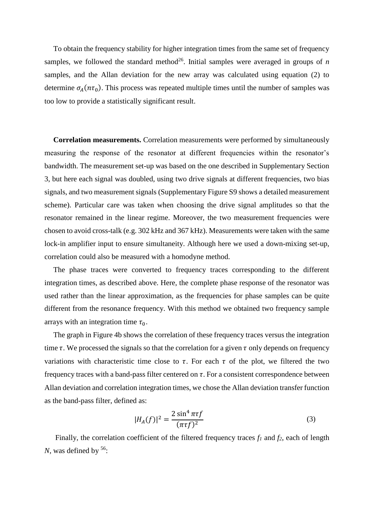To obtain the frequency stability for higher integration times from the same set of frequency samples, we followed the standard method<sup>26</sup>. Initial samples were averaged in groups of  $n$ samples, and the Allan deviation for the new array was calculated using equation (2) to determine  $\sigma_A(n\tau_0)$ . This process was repeated multiple times until the number of samples was too low to provide a statistically significant result.

**Correlation measurements.** Correlation measurements were performed by simultaneously measuring the response of the resonator at different frequencies within the resonator's bandwidth. The measurement set-up was based on the one described in Supplementary Section 3, but here each signal was doubled, using two drive signals at different frequencies, two bias signals, and two measurement signals (Supplementary Figure S9 shows a detailed measurement scheme). Particular care was taken when choosing the drive signal amplitudes so that the resonator remained in the linear regime. Moreover, the two measurement frequencies were chosen to avoid cross-talk (e.g. 302 kHz and 367 kHz). Measurements were taken with the same lock-in amplifier input to ensure simultaneity. Although here we used a down-mixing set-up, correlation could also be measured with a homodyne method.

The phase traces were converted to frequency traces corresponding to the different integration times, as described above. Here, the complete phase response of the resonator was used rather than the linear approximation, as the frequencies for phase samples can be quite different from the resonance frequency. With this method we obtained two frequency sample arrays with an integration time  $\tau_0$ .

The graph in Figure 4b shows the correlation of these frequency traces versus the integration time  $\tau$ . We processed the signals so that the correlation for a given  $\tau$  only depends on frequency variations with characteristic time close to  $\tau$ . For each  $\tau$  of the plot, we filtered the two frequency traces with a band-pass filter centered on  $\tau$ . For a consistent correspondence between Allan deviation and correlation integration times, we chose the Allan deviation transfer function as the band-pass filter, defined as:

$$
|H_A(f)|^2 = \frac{2\sin^4 \pi \tau f}{(\pi \tau f)^2}
$$
 (3)

Finally, the correlation coefficient of the filtered frequency traces *f<sup>1</sup>* and *f2*, each of length *N*, was defined by  $56$ :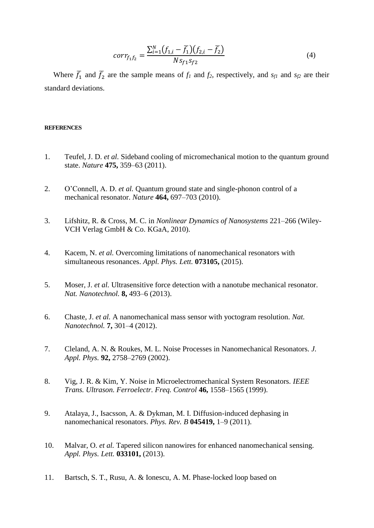$$
corr_{f_1 f_2} = \frac{\sum_{i=1}^{N} (f_{1,i} - \overline{f_1})(f_{2,i} - \overline{f_2})}{N s_{f_1} s_{f_2}}
$$
(4)

Where  $\overline{f}_1$  and  $\overline{f}_2$  are the sample means of  $f_1$  and  $f_2$ , respectively, and  $s_{f1}$  and  $s_{f2}$  are their standard deviations.

# **REFERENCES**

- 1. Teufel, J. D. *et al.* Sideband cooling of micromechanical motion to the quantum ground state. *Nature* **475,** 359–63 (2011).
- 2. O'Connell, A. D. *et al.* Quantum ground state and single-phonon control of a mechanical resonator. *Nature* **464,** 697–703 (2010).
- 3. Lifshitz, R. & Cross, M. C. in *Nonlinear Dynamics of Nanosystems* 221–266 (Wiley-VCH Verlag GmbH & Co. KGaA, 2010).
- 4. Kacem, N. *et al.* Overcoming limitations of nanomechanical resonators with simultaneous resonances. *Appl. Phys. Lett.* **073105,** (2015).
- 5. Moser, J. *et al.* Ultrasensitive force detection with a nanotube mechanical resonator. *Nat. Nanotechnol.* **8,** 493–6 (2013).
- 6. Chaste, J. *et al.* A nanomechanical mass sensor with yoctogram resolution. *Nat. Nanotechnol.* **7,** 301–4 (2012).
- 7. Cleland, A. N. & Roukes, M. L. Noise Processes in Nanomechanical Resonators. *J. Appl. Phys.* **92,** 2758–2769 (2002).
- 8. Vig, J. R. & Kim, Y. Noise in Microelectromechanical System Resonators. *IEEE Trans. Ultrason. Ferroelectr. Freq. Control* **46,** 1558–1565 (1999).
- 9. Atalaya, J., Isacsson, A. & Dykman, M. I. Diffusion-induced dephasing in nanomechanical resonators. *Phys. Rev. B* **045419,** 1–9 (2011).
- 10. Malvar, O. *et al.* Tapered silicon nanowires for enhanced nanomechanical sensing. *Appl. Phys. Lett.* **033101,** (2013).
- 11. Bartsch, S. T., Rusu, A. & Ionescu, A. M. Phase-locked loop based on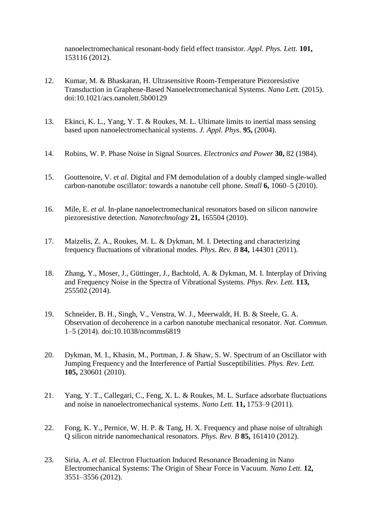nanoelectromechanical resonant-body field effect transistor. *Appl. Phys. Lett.* **101,** 153116 (2012).

- 12. Kumar, M. & Bhaskaran, H. Ultrasensitive Room-Temperature Piezoresistive Transduction in Graphene-Based Nanoelectromechanical Systems. *Nano Lett.* (2015). doi:10.1021/acs.nanolett.5b00129
- 13. Ekinci, K. L., Yang, Y. T. & Roukes, M. L. Ultimate limits to inertial mass sensing based upon nanoelectromechanical systems. *J. Appl. Phys.* **95,** (2004).
- 14. Robins, W. P. Phase Noise in Signal Sources. *Electronics and Power* **30,** 82 (1984).
- 15. Gouttenoire, V. *et al.* Digital and FM demodulation of a doubly clamped single-walled carbon-nanotube oscillator: towards a nanotube cell phone. *Small* **6,** 1060–5 (2010).
- 16. Mile, E. *et al.* In-plane nanoelectromechanical resonators based on silicon nanowire piezoresistive detection. *Nanotechnology* **21,** 165504 (2010).
- 17. Maizelis, Z. A., Roukes, M. L. & Dykman, M. I. Detecting and characterizing frequency fluctuations of vibrational modes. *Phys. Rev. B* **84,** 144301 (2011).
- 18. Zhang, Y., Moser, J., Güttinger, J., Bachtold, A. & Dykman, M. I. Interplay of Driving and Frequency Noise in the Spectra of Vibrational Systems. *Phys. Rev. Lett.* **113,** 255502 (2014).
- 19. Schneider, B. H., Singh, V., Venstra, W. J., Meerwaldt, H. B. & Steele, G. A. Observation of decoherence in a carbon nanotube mechanical resonator. *Nat. Commun.* 1–5 (2014). doi:10.1038/ncomms6819
- 20. Dykman, M. I., Khasin, M., Portman, J. & Shaw, S. W. Spectrum of an Oscillator with Jumping Frequency and the Interference of Partial Susceptibilities. *Phys. Rev. Lett.* **105,** 230601 (2010).
- 21. Yang, Y. T., Callegari, C., Feng, X. L. & Roukes, M. L. Surface adsorbate fluctuations and noise in nanoelectromechanical systems. *Nano Lett.* **11,** 1753–9 (2011).
- 22. Fong, K. Y., Pernice, W. H. P. & Tang, H. X. Frequency and phase noise of ultrahigh Q silicon nitride nanomechanical resonators. *Phys. Rev. B* **85,** 161410 (2012).
- 23. Siria, A. *et al.* Electron Fluctuation Induced Resonance Broadening in Nano Electromechanical Systems: The Origin of Shear Force in Vacuum. *Nano Lett.* **12,** 3551–3556 (2012).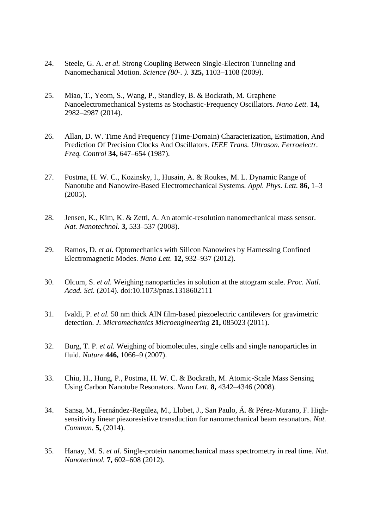- 24. Steele, G. A. *et al.* Strong Coupling Between Single-Electron Tunneling and Nanomechanical Motion. *Science (80-. ).* **325,** 1103–1108 (2009).
- 25. Miao, T., Yeom, S., Wang, P., Standley, B. & Bockrath, M. Graphene Nanoelectromechanical Systems as Stochastic-Frequency Oscillators. *Nano Lett.* **14,** 2982–2987 (2014).
- 26. Allan, D. W. Time And Frequency (Time-Domain) Characterization, Estimation, And Prediction Of Precision Clocks And Oscillators. *IEEE Trans. Ultrason. Ferroelectr. Freq. Control* **34,** 647–654 (1987).
- 27. Postma, H. W. C., Kozinsky, I., Husain, A. & Roukes, M. L. Dynamic Range of Nanotube and Nanowire-Based Electromechanical Systems. *Appl. Phys. Lett.* **86,** 1–3 (2005).
- 28. Jensen, K., Kim, K. & Zettl, A. An atomic-resolution nanomechanical mass sensor. *Nat. Nanotechnol.* **3,** 533–537 (2008).
- 29. Ramos, D. *et al.* Optomechanics with Silicon Nanowires by Harnessing Confined Electromagnetic Modes. *Nano Lett.* **12,** 932–937 (2012).
- 30. Olcum, S. *et al.* Weighing nanoparticles in solution at the attogram scale. *Proc. Natl. Acad. Sci.* (2014). doi:10.1073/pnas.1318602111
- 31. Ivaldi, P. *et al.* 50 nm thick AlN film-based piezoelectric cantilevers for gravimetric detection. *J. Micromechanics Microengineering* **21,** 085023 (2011).
- 32. Burg, T. P. *et al.* Weighing of biomolecules, single cells and single nanoparticles in fluid. *Nature* **446,** 1066–9 (2007).
- 33. Chiu, H., Hung, P., Postma, H. W. C. & Bockrath, M. Atomic-Scale Mass Sensing Using Carbon Nanotube Resonators. *Nano Lett.* **8,** 4342–4346 (2008).
- 34. Sansa, M., Fernández-Regúlez, M., Llobet, J., San Paulo, Á. & Pérez-Murano, F. Highsensitivity linear piezoresistive transduction for nanomechanical beam resonators. *Nat. Commun.* **5,** (2014).
- 35. Hanay, M. S. *et al.* Single-protein nanomechanical mass spectrometry in real time. *Nat. Nanotechnol.* **7,** 602–608 (2012).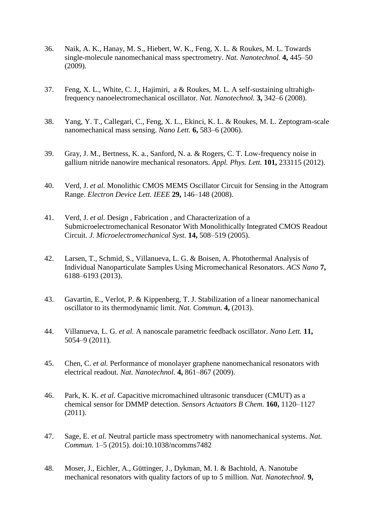- 36. Naik, A. K., Hanay, M. S., Hiebert, W. K., Feng, X. L. & Roukes, M. L. Towards single-molecule nanomechanical mass spectrometry. *Nat. Nanotechnol.* **4,** 445–50 (2009).
- 37. Feng, X. L., White, C. J., Hajimiri, a & Roukes, M. L. A self-sustaining ultrahighfrequency nanoelectromechanical oscillator. *Nat. Nanotechnol.* **3,** 342–6 (2008).
- 38. Yang, Y. T., Callegari, C., Feng, X. L., Ekinci, K. L. & Roukes, M. L. Zeptogram-scale nanomechanical mass sensing. *Nano Lett.* **6,** 583–6 (2006).
- 39. Gray, J. M., Bertness, K. a., Sanford, N. a. & Rogers, C. T. Low-frequency noise in gallium nitride nanowire mechanical resonators. *Appl. Phys. Lett.* **101,** 233115 (2012).
- 40. Verd, J. *et al.* Monolithic CMOS MEMS Oscillator Circuit for Sensing in the Attogram Range. *Electron Device Lett. IEEE* **29,** 146–148 (2008).
- 41. Verd, J. *et al.* Design , Fabrication , and Characterization of a Submicroelectromechanical Resonator With Monolithically Integrated CMOS Readout Circuit. *J. Microelectromechanical Syst.* **14,** 508–519 (2005).
- 42. Larsen, T., Schmid, S., Villanueva, L. G. & Boisen, A. Photothermal Analysis of Individual Nanoparticulate Samples Using Micromechanical Resonators. *ACS Nano* **7,** 6188–6193 (2013).
- 43. Gavartin, E., Verlot, P. & Kippenberg, T. J. Stabilization of a linear nanomechanical oscillator to its thermodynamic limit. *Nat. Commun.* **4,** (2013).
- 44. Villanueva, L. G. *et al.* A nanoscale parametric feedback oscillator. *Nano Lett.* **11,** 5054–9 (2011).
- 45. Chen, C. *et al.* Performance of monolayer graphene nanomechanical resonators with electrical readout. *Nat. Nanotechnol.* **4,** 861–867 (2009).
- 46. Park, K. K. *et al.* Capacitive micromachined ultrasonic transducer (CMUT) as a chemical sensor for DMMP detection. *Sensors Actuators B Chem.* **160,** 1120–1127 (2011).
- 47. Sage, E. *et al.* Neutral particle mass spectrometry with nanomechanical systems. *Nat. Commun.* 1–5 (2015). doi:10.1038/ncomms7482
- 48. Moser, J., Eichler, A., Güttinger, J., Dykman, M. I. & Bachtold, A. Nanotube mechanical resonators with quality factors of up to 5 million. *Nat. Nanotechnol.* **9,**